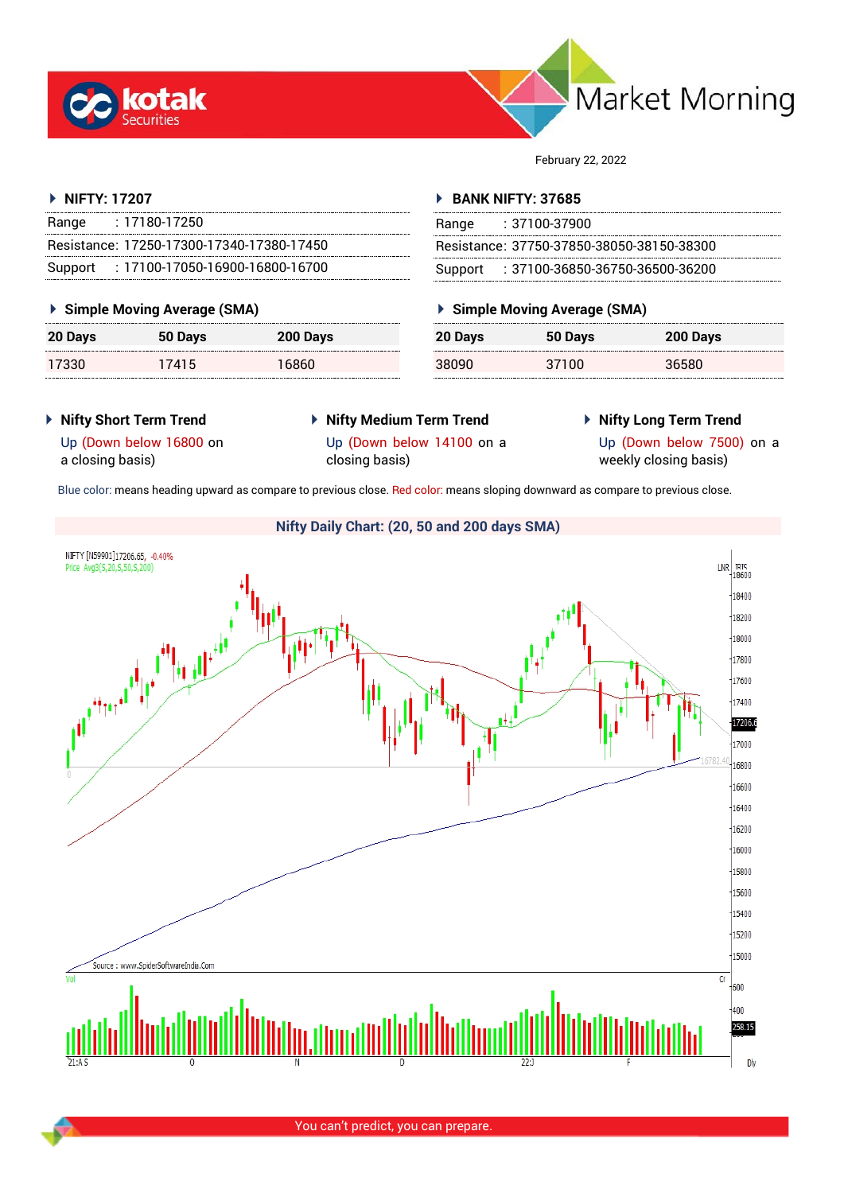



February 22, 2022

#### **NIFTY: 17207**

| Range | : 17180-17250                             |
|-------|-------------------------------------------|
|       | Resistance: 17250-17300-17340-17380-17450 |
|       | Support: 17100-17050-16900-16800-16700    |

#### **Simple Moving Average (SMA)**

| <b>20 Days</b> | 50 Days | 200 Days |
|----------------|---------|----------|
| 17330          | 17415   | 16860    |

#### **BANK NIFTY: 37685**

| Range | $: 37100 - 37900$                         |
|-------|-------------------------------------------|
|       | Resistance: 37750-37850-38050-38150-38300 |
|       | Support: : 37100-36850-36750-36500-36200  |

## **Simple Moving Average (SMA)**

| <b>20 Days</b> | 50 Days | 200 Days |
|----------------|---------|----------|
| 38090          | 37100   | 36580    |

### **Nifty Short Term Trend**

# **Nifty Medium Term Trend**

**Nifty Long Term Trend**

Up (Down below 16800 on a closing basis)

Up (Down below 14100 on a closing basis)

Up (Down below 7500) on a weekly closing basis)

Blue color: means heading upward as compare to previous close. Red color: means sloping downward as compare to previous close.

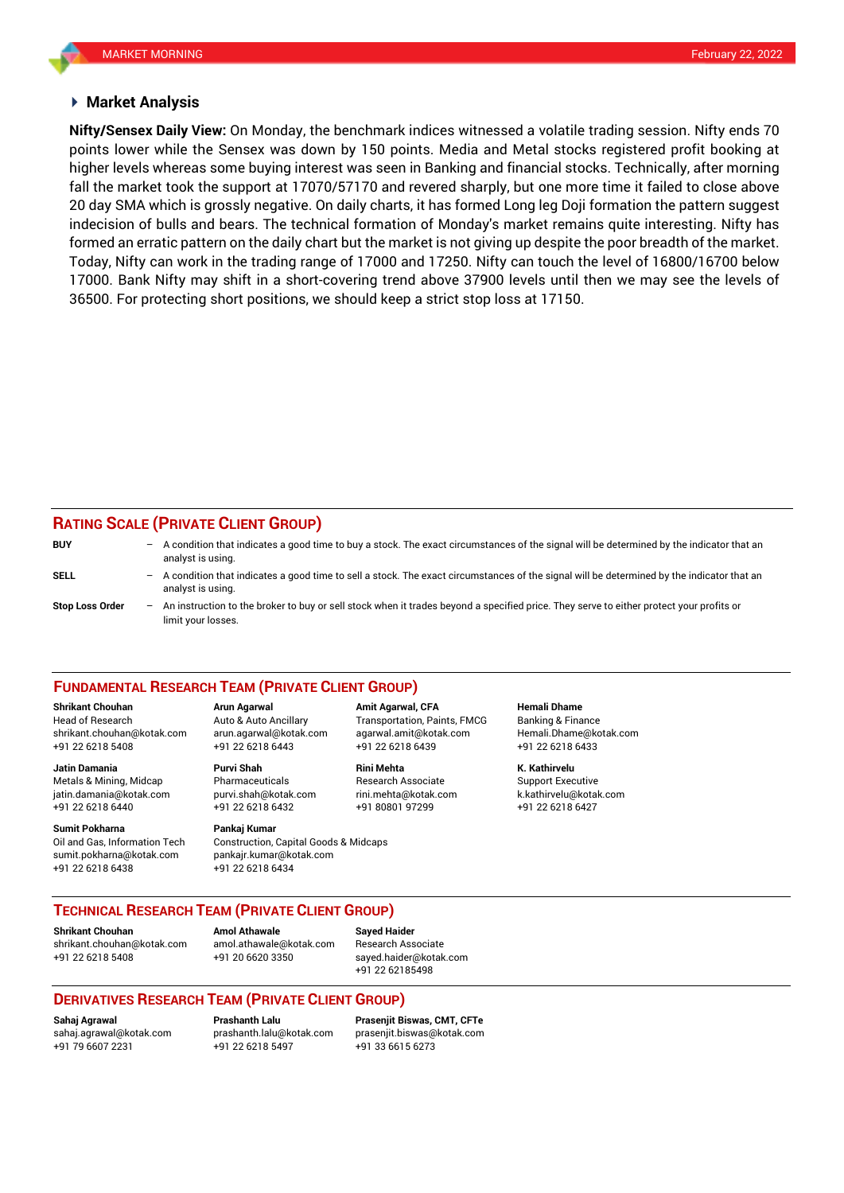#### **Market Analysis**

points lower while the Sensex was down by 150 points. Media and Metal stocks registered profit booking at fall the market took the support at 17070/57170 and revered sharply, but one more time it failed to close above **Nifty/Sensex Daily View:** On Monday, the benchmark indices witnessed a volatile trading session. Nifty ends 70 higher levels whereas some buying interest was seen in Banking and financial stocks. Technically, after morning 20 day SMA which is grossly negative. On daily charts, it has formed Long leg Doji formation the pattern suggest indecision of bulls and bears. The technical formation of Monday's market remains quite interesting. Nifty has formed an erratic pattern on the daily chart but the market is not giving up despite the poor breadth of the market. Today, Nifty can work in the trading range of 17000 and 17250. Nifty can touch the level of 16800/16700 below 17000. Bank Nifty may shift in a short-covering trend above 37900 levels until then we may see the levels of 36500. For protecting short positions, we should keep a strict stop loss at 17150.

## **RATING SCALE (PRIVATE CLIENT GROUP)**

| <b>BUY</b>             |     | $-$ A condition that indicates a good time to buy a stock. The exact circumstances of the signal will be determined by the indicator that an<br>analyst is using. |
|------------------------|-----|-------------------------------------------------------------------------------------------------------------------------------------------------------------------|
| SELL                   | -   | A condition that indicates a good time to sell a stock. The exact circumstances of the signal will be determined by the indicator that an<br>analyst is using.    |
| <b>Stop Loss Order</b> | $-$ | An instruction to the broker to buy or sell stock when it trades beyond a specified price. They serve to either protect your profits or<br>limit your losses.     |

#### **FUNDAMENTAL RESEARCH TEAM (PRIVATE CLIENT GROUP)**

Head of Research Auto & Auto Ancillary Transportation, Paints, FMCG Banking & Finance [shrikant.chouhan@kotak.com](mailto:shrikant.chouhan@kotak.com) arun.agarwal@kotak.com agarwal.amit@kotak.com Hemali.Dhame@kotak.com

**Jatin Damania Purvi Shah Rini Mehta K. Kathirvelu** Metals & Mining, Midcap Pharmaceuticals Research Associate Support Executive jatin.damania@kotak.com [purvi.shah@kotak.com](mailto:purvi.shah@kotak.com) rini.mehta@kotak.com [k.kathirvelu@kotak.com](mailto:k.kathirvelu@kotak.com) +91 22 6218 6440 +91 22 6218 6432 +91 80801 97299 +91 22 6218 6427

Oil and Gas, Information Tech Construction, Capital Goods & Midcaps sumit.pokharna@kotak.com pankajr.kumar@kotak.com

+91 22 6218 5408 +91 22 6218 6443 +91 22 6218 6439 +91 22 6218 6433

## **Sumit Pokharna** Pankaj Kumar

+91 22 6218 6438 +91 22 6218 6434

**Shrikant Chouhan Arun Agarwal Amit Agarwal, CFA Hemali Dhame**

#### **TECHNICAL RESEARCH TEAM (PRIVATE CLIENT GROUP)**

**Shrikant Chouhan Amol Athawale Sayed Haider**

[shrikant.chouhan@kotak.com](mailto:shrikant.chouhan@kotak.com) [amol.athawale@kotak.com](mailto:amol.athawale@kotak.com) Research Associate +91 22 6218 5408 +91 20 6620 3350 [sayed.haider@kotak.com](mailto:sayed.haider@kotak.com)

+91 22 62185498

#### **DERIVATIVES RESEARCH TEAM (PRIVATE CLIENT GROUP)**

+91 79 6607 2231 +91 22 6218 5497 +91 33 6615 6273

**Sahaj Agrawal Prashanth Lalu Prasenjit Biswas, CMT, CFTe** [sahaj.agrawal@kotak.com](mailto:sahaj.agrawal@kotak.com) [prashanth.lalu@kotak.com](mailto:prashanth.lalu@kotak.com) [prasenjit.biswas@kotak.com](mailto:prasenjit.biswas@kotak.com)